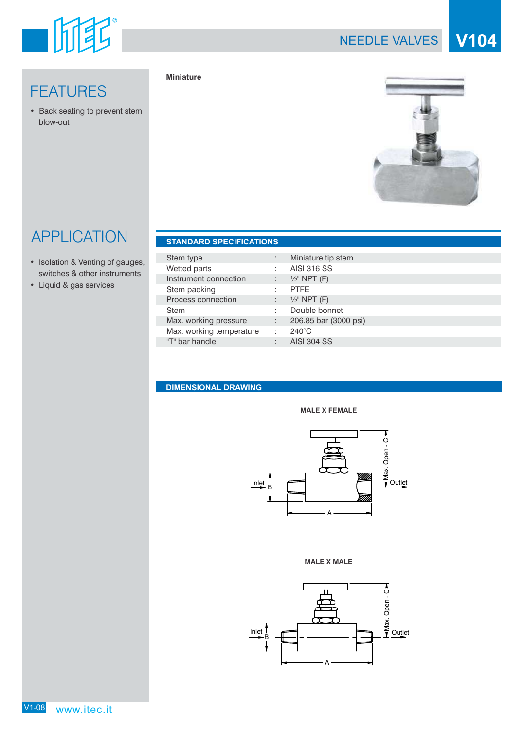

## NEEDLE VALVES **V104**

## **FEATURES**

• Back seating to prevent stem blow-out

### **Miniature**



# APPLICATION **F**

- Isolation & Venting of gauges, switches & other instruments
- Liquid & gas services

| <b>STANDARD SPECIFICATIONS</b> |    |                         |
|--------------------------------|----|-------------------------|
| Stem type                      | ÷  | Miniature tip stem      |
| Wetted parts                   | ÷  | <b>AISI 316 SS</b>      |
| Instrument connection          | ÷  | $\frac{1}{2}$ " NPT (F) |
| Stem packing                   | ÷  | <b>PTFE</b>             |
| Process connection             | ÷  | $\frac{1}{2}$ " NPT (F) |
| <b>Stem</b>                    | ÷  | Double bonnet           |
| Max. working pressure          | V. | 206.85 bar (3000 psi)   |
| Max. working temperature       | ÷  | $240^{\circ}$ C         |
| "T" bar handle                 | ÷  | <b>AISI 304 SS</b>      |

## **DIMENSIONAL DRAWING**





#### **MALE X MALE**